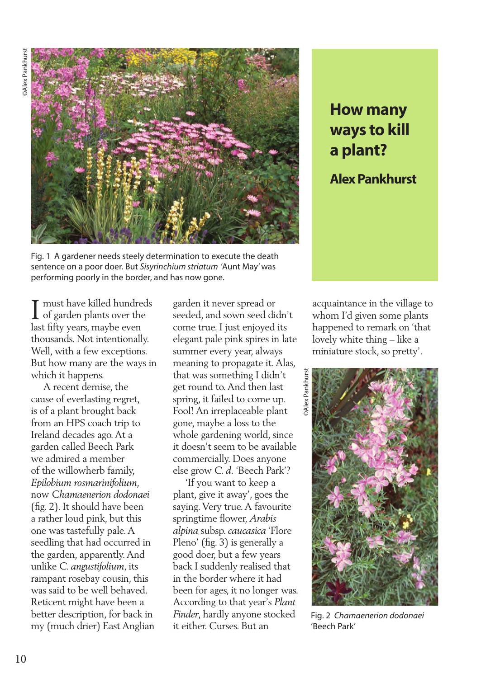

Fig. 1 A gardener needs steely determination to execute the death sentence on a poor doer. But *Sisyrinchium striatum* 'Aunt May' was performing poorly in the border, and has now gone.

must have killed hundreds of garden plants over the I must have killed hundre<br>of garden plants over the<br>last fifty years, maybe even thousands. Not intentionally. Well, with a few exceptions. But how many are the ways in which it happens.

 A recent demise, the cause of everlasting regret, is of a plant brought back from an HPS coach trip to Ireland decades ago. At a garden called Beech Park we admired a member of the willowherb family, *Epilobium rosmarinifolium*, now *Chamaenerion dodonaei* (fig. 2). It should have been a rather loud pink, but this one was tastefully pale. A seedling that had occurred in the garden, apparently. And unlike *C. angustifolium*, its rampant rosebay cousin, this was said to be well behaved. Reticent might have been a better description, for back in my (much drier) East Anglian

garden it never spread or seeded, and sown seed didn't come true. I just enjoyed its elegant pale pink spires in late summer every year, always meaning to propagate it. Alas, that was something I didn't get round to. And then last spring, it failed to come up. Fool! An irreplaceable plant gone, maybe a loss to the whole gardening world, since it doesn't seem to be available commercially. Does anyone else grow *C. d.* 'Beech Park'?

 'If you want to keep a plant, give it away', goes the saying. Very true. A favourite springtime flower, *Arabis alpina* subsp. *caucasica* 'Flore Pleno' (fig. 3) is generally a good doer, but a few years back I suddenly realised that in the border where it had been for ages, it no longer was. According to that year's *Plant Finder*, hardly anyone stocked it either. Curses. But an

## **How many ways to kill a plant?**

## **Alex Pankhurst**

acquaintance in the village to whom I'd given some plants happened to remark on 'that lovely white thing – like a miniature stock, so pretty'.



Fig. 2 *Chamaenerion dodonaei*  'Beech Park'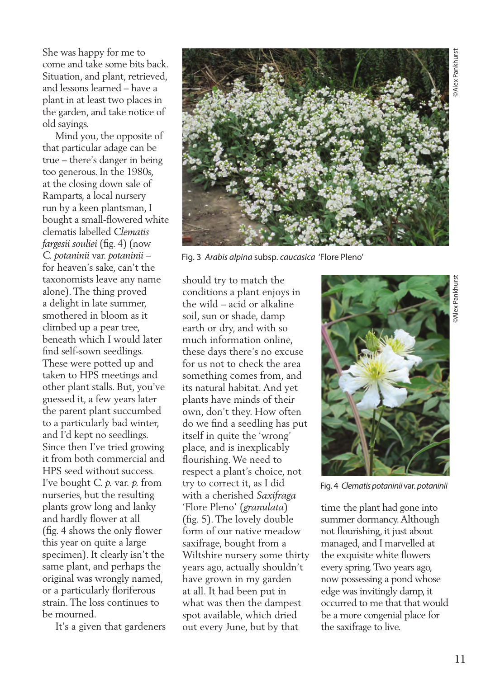She was happy for me to come and take some bits back. Situation, and plant, retrieved, and lessons learned – have a plant in at least two places in the garden, and take notice of old sayings.

 Mind you, the opposite of that particular adage can be true – there's danger in being too generous. In the 1980s, at the closing down sale of Ramparts, a local nursery run by a keen plantsman, I bought a small-flowered white clematis labelled *Clematis fargesii souliei* (fig. 4) (now *C. potaninii* var. *potaninii* – for heaven's sake, can't the taxonomists leave any name alone). The thing proved a delight in late summer, smothered in bloom as it climbed up a pear tree, beneath which I would later find self-sown seedlings. These were potted up and taken to HPS meetings and other plant stalls. But, you've guessed it, a few years later the parent plant succumbed to a particularly bad winter, and I'd kept no seedlings. Since then I've tried growing it from both commercial and HPS seed without success. I've bought *C. p.* var. *p.* from nurseries, but the resulting plants grow long and lanky and hardly flower at all (fig. 4 shows the only flower this year on quite a large specimen). It clearly isn't the same plant, and perhaps the original was wrongly named, or a particularly floriferous strain. The loss continues to be mourned.

It's a given that gardeners



Fig. 3 *Arabis alpina* subsp. *caucasica* 'Flore Pleno'

should try to match the conditions a plant enjoys in the wild – acid or alkaline soil, sun or shade, damp earth or dry, and with so much information online, these days there's no excuse for us not to check the area something comes from, and its natural habitat. And yet plants have minds of their own, don't they. How often do we find a seedling has put itself in quite the 'wrong' place, and is inexplicably flourishing. We need to respect a plant's choice, not try to correct it, as I did with a cherished *Saxifraga*  'Flore Pleno' (*granulata*) (fig. 5). The lovely double form of our native meadow saxifrage, bought from a Wiltshire nursery some thirty years ago, actually shouldn't have grown in my garden at all. It had been put in what was then the dampest spot available, which dried out every June, but by that



Fig. 4 *Clematis potaninii* var. *potaninii* 

time the plant had gone into summer dormancy. Although not flourishing, it just about managed, and I marvelled at the exquisite white flowers every spring. Two years ago, now possessing a pond whose edge was invitingly damp, it occurred to me that that would be a more congenial place for the saxifrage to live.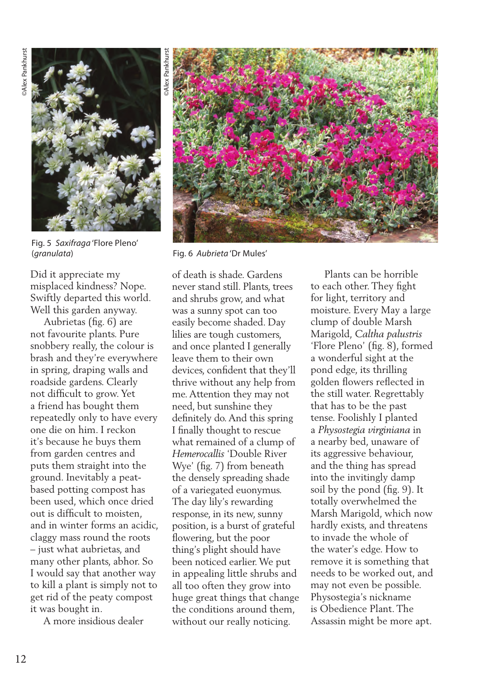

Fig. 5 *Saxifraga* 'Flore Pleno' (*granulata*) Fig. 6 *Aubrieta* 'Dr Mules'

Did it appreciate my misplaced kindness? Nope. Swiftly departed this world. Well this garden anyway.

 Aubrietas (fig. 6) are not favourite plants. Pure snobbery really, the colour is brash and they're everywhere in spring, draping walls and roadside gardens. Clearly not difficult to grow. Yet a friend has bought them repeatedly only to have every one die on him. I reckon it's because he buys them from garden centres and puts them straight into the ground. Inevitably a peatbased potting compost has been used, which once dried out is difficult to moisten, and in winter forms an acidic, claggy mass round the roots – just what aubrietas, and many other plants, abhor. So I would say that another way to kill a plant is simply not to get rid of the peaty compost it was bought in.

A more insidious dealer



of death is shade. Gardens never stand still. Plants, trees and shrubs grow, and what was a sunny spot can too easily become shaded. Day lilies are tough customers, and once planted I generally leave them to their own devices, confident that they'll thrive without any help from me. Attention they may not need, but sunshine they definitely do. And this spring I finally thought to rescue what remained of a clump of *Hemerocallis* 'Double River Wye' (fig. 7) from beneath the densely spreading shade of a variegated euonymus. The day lily's rewarding response, in its new, sunny position, is a burst of grateful flowering, but the poor thing's plight should have been noticed earlier. We put in appealing little shrubs and all too often they grow into huge great things that change the conditions around them, without our really noticing.

 Plants can be horrible to each other. They fight for light, territory and moisture. Every May a large clump of double Marsh Marigold, *Caltha palustris* 'Flore Pleno' (fig. 8), formed a wonderful sight at the pond edge, its thrilling golden flowers reflected in the still water. Regrettably that has to be the past tense. Foolishly I planted a *Physostegia virginiana* in a nearby bed, unaware of its aggressive behaviour, and the thing has spread into the invitingly damp soil by the pond (fig. 9). It totally overwhelmed the Marsh Marigold, which now hardly exists, and threatens to invade the whole of the water's edge. How to remove it is something that needs to be worked out, and may not even be possible. Physostegia's nickname is Obedience Plant. The Assassin might be more apt.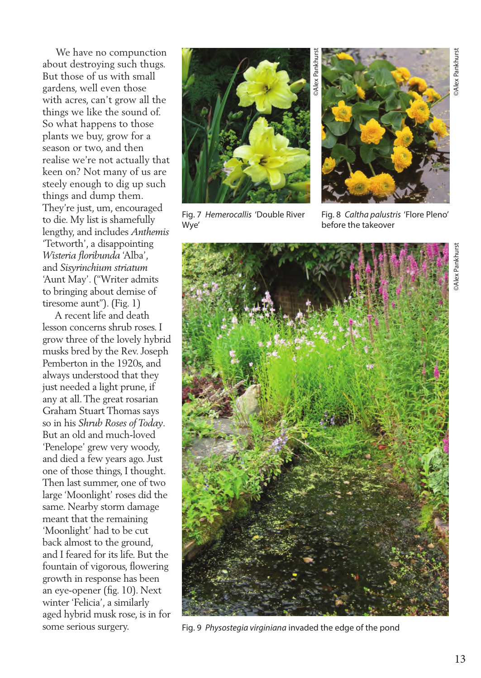We have no compunction about destroying such thugs. But those of us with small gardens, well even those with acres, can't grow all the things we like the sound of. So what happens to those plants we buy, grow for a season or two, and then realise we're not actually that keen on? Not many of us are steely enough to dig up such things and dump them. They're just, um, encouraged to die. My list is shamefully lengthy, and includes *Anthemis* 'Tetworth', a disappointing *Wisteria floribunda* 'Alba', and *Sisyrinchium striatum* 'Aunt May'. ("Writer admits to bringing about demise of tiresome aunt"). (Fig. 1)

 A recent life and death lesson concerns shrub roses. I grow three of the lovely hybrid musks bred by the Rev. Joseph Pemberton in the 1920s, and always understood that they just needed a light prune, if any at all. The great rosarian Graham Stuart Thomas says so in his *Shrub Roses of Today*. But an old and much-loved 'Penelope' grew very woody, and died a few years ago. Just one of those things, I thought. Then last summer, one of two large 'Moonlight' roses did the same. Nearby storm damage meant that the remaining 'Moonlight' had to be cut back almost to the ground, and I feared for its life. But the fountain of vigorous, flowering growth in response has been an eye-opener (fig. 10). Next winter 'Felicia', a similarly aged hybrid musk rose, is in for some serious surgery.



Fig. 7 *Hemerocallis* 'Double River Wye'



Fig. 8 *Caltha palustris* 'Flore Pleno' before the takeover



Fig. 9 *Physostegia virginiana* invaded the edge of the pond